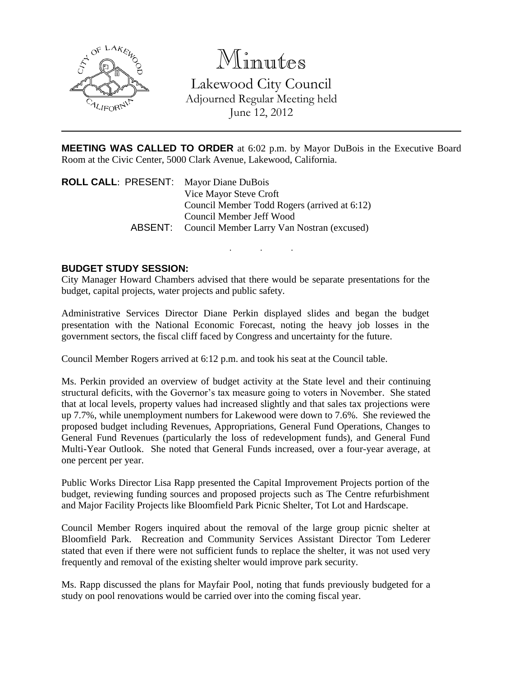

# Minutes

Lakewood City Council Adjourned Regular Meeting held June 12, 2012

**MEETING WAS CALLED TO ORDER** at 6:02 p.m. by Mayor DuBois in the Executive Board Room at the Civic Center, 5000 Clark Avenue, Lakewood, California.

. . .

**ROLL CALL**: PRESENT: Mayor Diane DuBois Vice Mayor Steve Croft Council Member Todd Rogers (arrived at 6:12) Council Member Jeff Wood ABSENT: Council Member Larry Van Nostran (excused)

# **BUDGET STUDY SESSION:**

City Manager Howard Chambers advised that there would be separate presentations for the budget, capital projects, water projects and public safety.

Administrative Services Director Diane Perkin displayed slides and began the budget presentation with the National Economic Forecast, noting the heavy job losses in the government sectors, the fiscal cliff faced by Congress and uncertainty for the future.

Council Member Rogers arrived at 6:12 p.m. and took his seat at the Council table.

Ms. Perkin provided an overview of budget activity at the State level and their continuing structural deficits, with the Governor's tax measure going to voters in November. She stated that at local levels, property values had increased slightly and that sales tax projections were up 7.7%, while unemployment numbers for Lakewood were down to 7.6%. She reviewed the proposed budget including Revenues, Appropriations, General Fund Operations, Changes to General Fund Revenues (particularly the loss of redevelopment funds), and General Fund Multi-Year Outlook. She noted that General Funds increased, over a four-year average, at one percent per year.

Public Works Director Lisa Rapp presented the Capital Improvement Projects portion of the budget, reviewing funding sources and proposed projects such as The Centre refurbishment and Major Facility Projects like Bloomfield Park Picnic Shelter, Tot Lot and Hardscape.

Council Member Rogers inquired about the removal of the large group picnic shelter at Bloomfield Park. Recreation and Community Services Assistant Director Tom Lederer stated that even if there were not sufficient funds to replace the shelter, it was not used very frequently and removal of the existing shelter would improve park security.

Ms. Rapp discussed the plans for Mayfair Pool, noting that funds previously budgeted for a study on pool renovations would be carried over into the coming fiscal year.